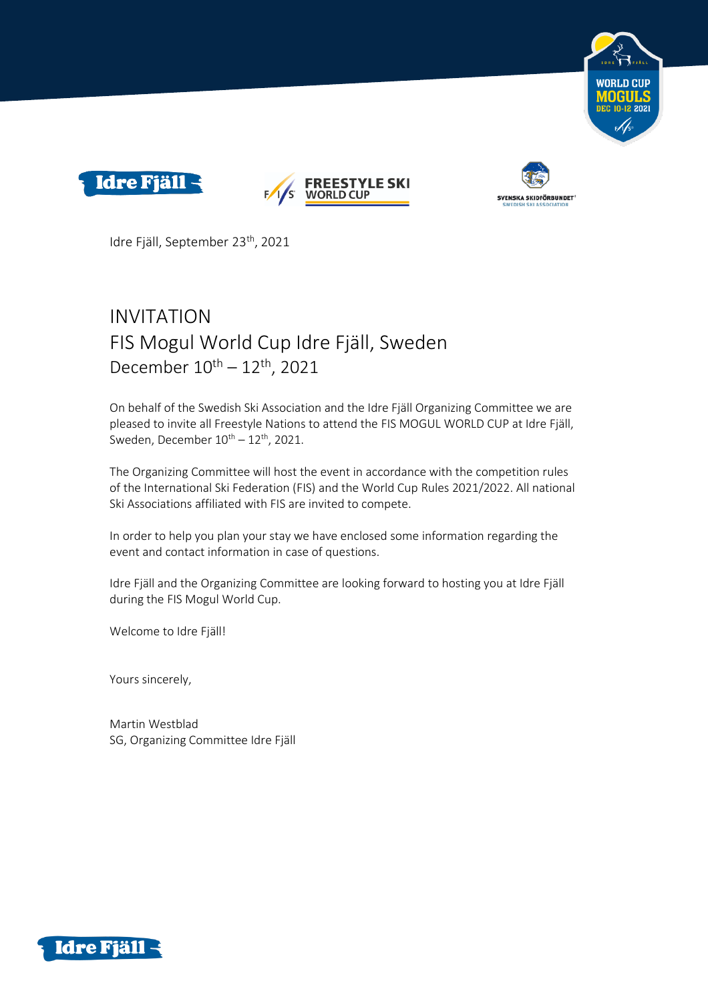







Idre Fjäll, September 23th , 2021

# INVITATION FIS Mogul World Cup Idre Fjäll, Sweden December  $10^{\text{th}} - 12^{\text{th}}$ , 2021

On behalf of the Swedish Ski Association and the Idre Fjäll Organizing Committee we are pleased to invite all Freestyle Nations to attend the FIS MOGUL WORLD CUP at Idre Fjäll, Sweden, December  $10^{th} - 12^{th}$ , 2021.

The Organizing Committee will host the event in accordance with the competition rules of the International Ski Federation (FIS) and the World Cup Rules 2021/2022. All national Ski Associations affiliated with FIS are invited to compete.

In order to help you plan your stay we have enclosed some information regarding the event and contact information in case of questions.

Idre Fjäll and the Organizing Committee are looking forward to hosting you at Idre Fjäll during the FIS Mogul World Cup.

Welcome to Idre Fjäll!

Yours sincerely,

Martin Westblad SG, Organizing Committee Idre Fjäll

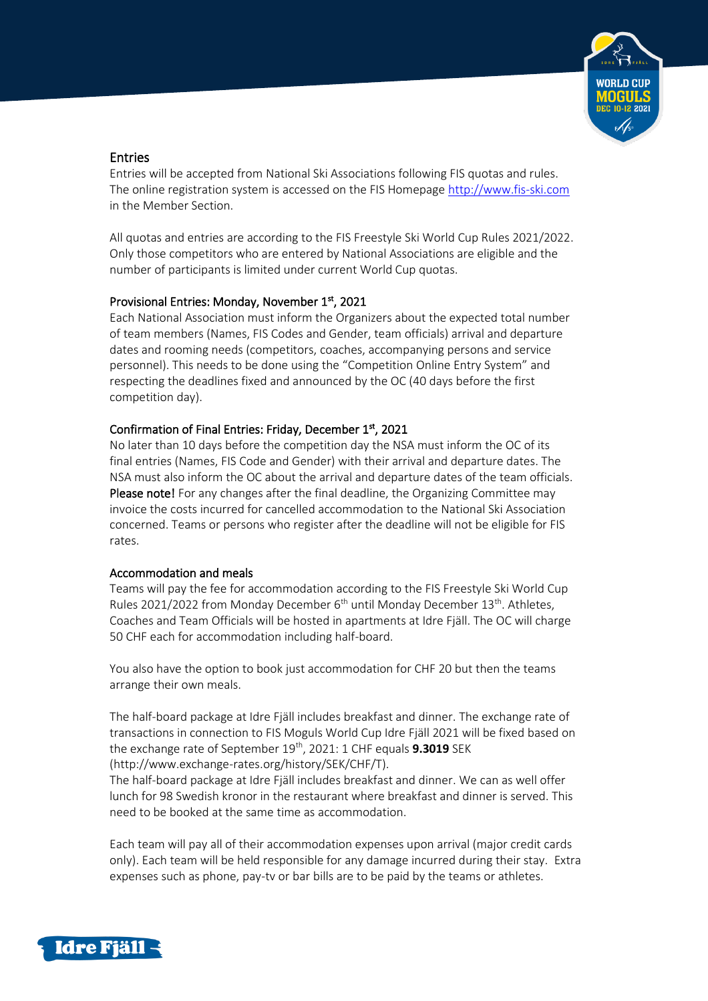

# Entries

Entries will be accepted from National Ski Associations following FIS quotas and rules. The online registration system is accessed on the FIS Homepag[e http://www.fis-ski.com](http://www.fis-ski.com/) in the Member Section.

All quotas and entries are according to the FIS Freestyle Ski World Cup Rules 2021/2022. Only those competitors who are entered by National Associations are eligible and the number of participants is limited under current World Cup quotas.

## Provisional Entries: Monday, November 1st, 2021

Each National Association must inform the Organizers about the expected total number of team members (Names, FIS Codes and Gender, team officials) arrival and departure dates and rooming needs (competitors, coaches, accompanying persons and service personnel). This needs to be done using the "Competition Online Entry System" and respecting the deadlines fixed and announced by the OC (40 days before the first competition day).

# Confirmation of Final Entries: Friday, December 1st, 2021

No later than 10 days before the competition day the NSA must inform the OC of its final entries (Names, FIS Code and Gender) with their arrival and departure dates. The NSA must also inform the OC about the arrival and departure dates of the team officials. Please note! For any changes after the final deadline, the Organizing Committee may invoice the costs incurred for cancelled accommodation to the National Ski Association concerned. Teams or persons who register after the deadline will not be eligible for FIS rates.

#### Accommodation and meals

Teams will pay the fee for accommodation according to the FIS Freestyle Ski World Cup Rules 2021/2022 from Monday December 6<sup>th</sup> until Monday December 13<sup>th</sup>. Athletes, Coaches and Team Officials will be hosted in apartments at Idre Fjäll. The OC will charge 50 CHF each for accommodation including half-board.

You also have the option to book just accommodation for CHF 20 but then the teams arrange their own meals.

The half-board package at Idre Fjäll includes breakfast and dinner. The exchange rate of transactions in connection to FIS Moguls World Cup Idre Fjäll 2021 will be fixed based on the exchange rate of September 19<sup>th</sup>, 2021: 1 CHF equals **9.3019** SEK (http://www.exchange-rates.org/history/SEK/CHF/T).

The half-board package at Idre Fjäll includes breakfast and dinner. We can as well offer lunch for 98 Swedish kronor in the restaurant where breakfast and dinner is served. This need to be booked at the same time as accommodation.

Each team will pay all of their accommodation expenses upon arrival (major credit cards only). Each team will be held responsible for any damage incurred during their stay. Extra expenses such as phone, pay-tv or bar bills are to be paid by the teams or athletes.

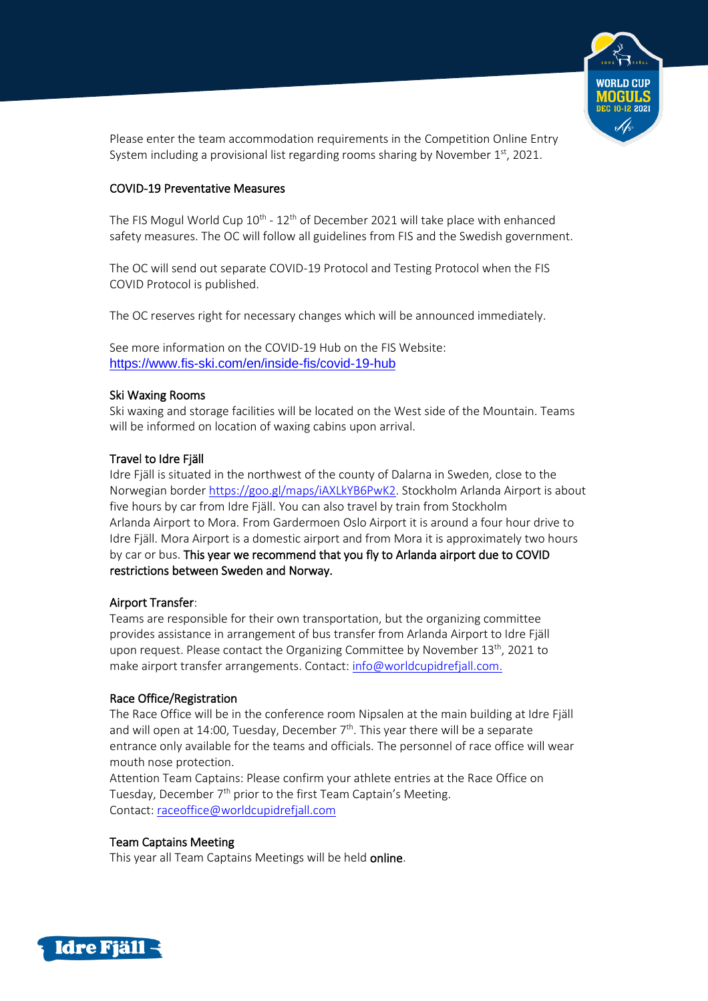

Please enter the team accommodation requirements in the Competition Online Entry System including a provisional list regarding rooms sharing by November  $1^\mathrm{st}$ , 2021.

# COVID-19 Preventative Measures

The FIS Mogul World Cup 10<sup>th</sup> - 12<sup>th</sup> of December 2021 will take place with enhanced safety measures. The OC will follow all guidelines from FIS and the Swedish government.

The OC will send out separate COVID-19 Protocol and Testing Protocol when the FIS COVID Protocol is published.

The OC reserves right for necessary changes which will be announced immediately.

See more information on the COVID-19 Hub on the FIS Website: <https://www.fis-ski.com/en/inside-fis/covid-19-hub>

## Ski Waxing Rooms

Ski waxing and storage facilities will be located on the West side of the Mountain. Teams will be informed on location of waxing cabins upon arrival.

## Travel to Idre Fjäll

Idre Fjäll is situated in the northwest of the county of Dalarna in Sweden, close to the Norwegian borde[r https://goo.gl/maps/iAXLkYB6PwK2.](https://goo.gl/maps/iAXLkYB6PwK2) Stockholm Arlanda Airport is about five hours by car from Idre Fjäll. You can also travel by train from Stockholm Arlanda Airport to Mora. From Gardermoen Oslo Airport it is around a four hour drive to Idre Fjäll. Mora Airport is a domestic airport and from Mora it is approximately two hours by car or bus. This year we recommend that you fly to Arlanda airport due to COVID restrictions between Sweden and Norway.

# Airport Transfer:

Teams are responsible for their own transportation, but the organizing committee provides assistance in arrangement of bus transfer from Arlanda Airport to Idre Fjäll upon request. Please contact the Organizing Committee by November  $13<sup>th</sup>$ , 2021 to make airport transfer arrangements. Contact: [info@worldcupidrefjall.com.](mailto:info@worldcupidrefjall.com)

# Race Office/Registration

The Race Office will be in the conference room Nipsalen at the main building at Idre Fjäll and will open at 14:00, Tuesday, December  $7<sup>th</sup>$ . This year there will be a separate entrance only available for the teams and officials. The personnel of race office will wear mouth nose protection.

Attention Team Captains: Please confirm your athlete entries at the Race Office on Tuesday, December 7th prior to the first Team Captain's Meeting. Contact: [raceoffice@worldcupidrefjall.com](mailto:raceoffice@worldcupidrefjall.com)

# Team Captains Meeting

This year all Team Captains Meetings will be held online.

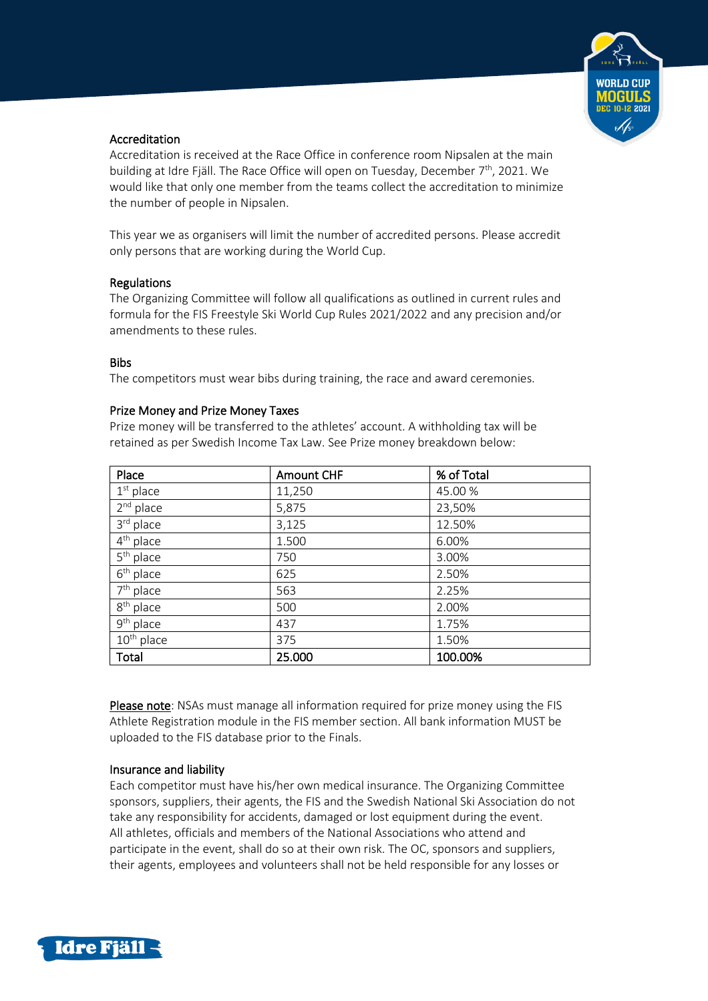

#### Accreditation

Accreditation is received at the Race Office in conference room Nipsalen at the main building at Idre Fjäll. The Race Office will open on Tuesday, December 7<sup>th</sup>, 2021. We would like that only one member from the teams collect the accreditation to minimize the number of people in Nipsalen.

This year we as organisers will limit the number of accredited persons. Please accredit only persons that are working during the World Cup.

## Regulations

The Organizing Committee will follow all qualifications as outlined in current rules and formula for the FIS Freestyle Ski World Cup Rules 2021/2022 and any precision and/or amendments to these rules.

#### Bibs

The competitors must wear bibs during training, the race and award ceremonies.

## Prize Money and Prize Money Taxes

Prize money will be transferred to the athletes' account. A withholding tax will be retained as per Swedish Income Tax Law. See Prize money breakdown below:

| Place                            | <b>Amount CHF</b> | % of Total |
|----------------------------------|-------------------|------------|
| $1st$ place                      | 11,250            | 45.00 %    |
| $2nd$ place                      | 5,875             | 23,50%     |
| 3rd place                        | 3,125             | 12.50%     |
| $4^{\text{th}}$ place            | 1.500             | 6.00%      |
| $5th$ place                      | 750               | 3.00%      |
| $6th$ place                      | 625               | 2.50%      |
| $7th$ place                      | 563               | 2.25%      |
| $8th$ place                      | 500               | 2.00%      |
| $\overline{9}^{\text{th}}$ place | 437               | 1.75%      |
| $10th$ place                     | 375               | 1.50%      |
| Total                            | 25.000            | 100.00%    |

Please note: NSAs must manage all information required for prize money using the FIS Athlete Registration module in the FIS member section. All bank information MUST be uploaded to the FIS database prior to the Finals.

# Insurance and liability

Each competitor must have his/her own medical insurance. The Organizing Committee sponsors, suppliers, their agents, the FIS and the Swedish National Ski Association do not take any responsibility for accidents, damaged or lost equipment during the event. All athletes, officials and members of the National Associations who attend and participate in the event, shall do so at their own risk. The OC, sponsors and suppliers, their agents, employees and volunteers shall not be held responsible for any losses or